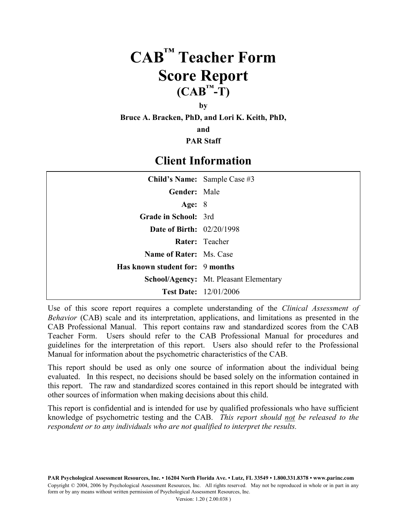# **CAB™ Teacher Form Score Report**  $(CAB^{\mathsf{TM}}-T)$

#### **by**

**Bruce A. Bracken, PhD, and Lori K. Keith, PhD,**

**and**

**PAR Staff**

### **Client Information**

|                                    | Child's Name: Sample Case #3                  |
|------------------------------------|-----------------------------------------------|
| <b>Gender:</b> Male                |                                               |
| Age: $8$                           |                                               |
| <b>Grade in School: 3rd</b>        |                                               |
| <b>Date of Birth:</b> $02/20/1998$ |                                               |
|                                    | Rater: Teacher                                |
| <b>Name of Rater:</b> Ms. Case     |                                               |
| Has known student for: 9 months    |                                               |
|                                    | <b>School/Agency:</b> Mt. Pleasant Elementary |
|                                    | <b>Test Date:</b> 12/01/2006                  |

Use of this score report requires a complete understanding of the *Clinical Assessment of Behavior* (CAB) scale and its interpretation, applications, and limitations as presented in the CAB Professional Manual. This report contains raw and standardized scores from the CAB Teacher Form. Users should refer to the CAB Professional Manual for procedures and guidelines for the interpretation of this report. Users also should refer to the Professional Manual for information about the psychometric characteristics of the CAB.

This report should be used as only one source of information about the individual being evaluated. In this respect, no decisions should be based solely on the information contained in this report. The raw and standardized scores contained in this report should be integrated with other sources of information when making decisions about this child.

This report is confidential and is intended for use by qualified professionals who have sufficient knowledge of psychometric testing and the CAB. *This report should not be released to the respondent or to any individuals who are not qualified to interpret the results.*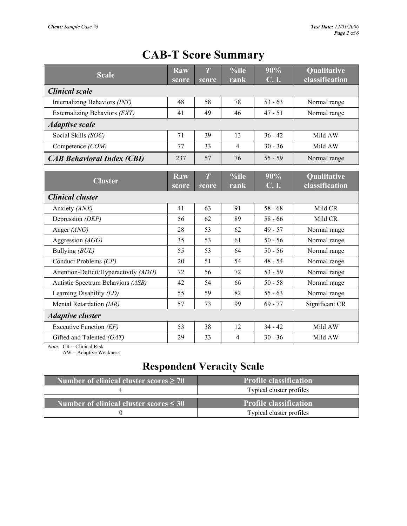#### **Scale Raw score** *T s***core %ile rank 90% C. I. Qualitative classification** *Clinical scale* Internalizing Behaviors *(INT)*  $\begin{array}{|c|c|c|c|c|} \hline 48 & 58 & 78 & 53 & -63 \end{array}$  Normal range Externalizing Behaviors *(EXT)* 41 49 46 47 - 51 Normal range *Adaptive scale* Social Skills *(SOC)* 71 39 13 36 - 42 Mild AW Competence *(COM)* 77 33 4 30 - 36 Mild AW *CAB Behavioral Index (CBI)* 237 57 76 55 - 59 Normal range **Cluster Raw score** *T s***core %ile rank 90% C. I. Qualitative classification** *Clinical cluster* Anxiety *(ANX)*  $\begin{array}{|c|c|c|c|c|c|} \hline \end{array}$  41 63 91 58 - 68 Mild CR Depression *(DEP)* 56 62 89 58 - 66 Mild CR Anger *(ANG)* 28 53 62 49 - 57 Normal range Aggression *(AGG)* 35 53 61 50 - 56 Normal range Bullying *(BUL)*  $\begin{array}{|c|c|c|c|c|c|} \hline \end{array}$  55 53 64 50 - 56 Normal range Conduct Problems *(CP)* 20 51 54 48 - 54 Normal range Attention-Deficit/Hyperactivity *(ADH)* 72 56 72 53 - 59 Normal range Autistic Spectrum Behaviors *(ASB)*  $\begin{array}{|c|c|c|c|c|} \hline 42 & 54 & 66 & 50 - 58 & \hline \end{array}$  Normal range Learning Disability *(LD)* 55 59 82 55 - 63 Normal range Mental Retardation *(MR)*  $\begin{array}{|c|c|c|c|c|c|c|} \hline 57 & 73 & 99 & 69 - 77 & \hline \end{array}$  Significant CR *Adaptive cluster* Executive Function *(EF)*  $\begin{array}{|c|c|c|c|c|} \hline 53 & 38 & 12 & 34-42 & \hline \end{array}$  Mild AW Gifted and Talented *(GAT)* 29 33 4 30 - 36 Mild AW

### **CAB-T Score Summary**

*Note.* CR = Clinical Risk

AW = Adaptive Weakness

#### **Respondent Veracity Scale**

| Number of clinical cluster scores $\geq 70$ | <b>Profile classification</b> |
|---------------------------------------------|-------------------------------|
|                                             | Typical cluster profiles      |
| Number of clinical cluster scores $\leq 30$ | Profile classification        |
|                                             | Typical cluster profiles      |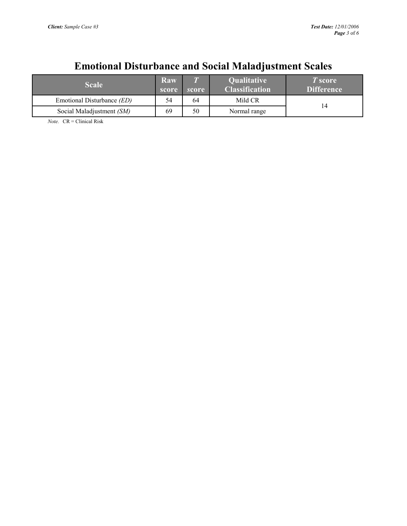## **Emotional Disturbance and Social Maladjustment Scales**

| <b>Scale</b>                      | Raw<br>score | $\overline{I}$<br>score | <b>Qualitative</b><br><b>Classification</b> | T score<br><b>Difference</b> |
|-----------------------------------|--------------|-------------------------|---------------------------------------------|------------------------------|
| Emotional Disturbance <i>(ED)</i> | 54           | 64                      | Mild CR                                     |                              |
| Social Maladjustment (SM)         | 69           | 50                      | Normal range                                | 14                           |

*Note.* CR = Clinical Risk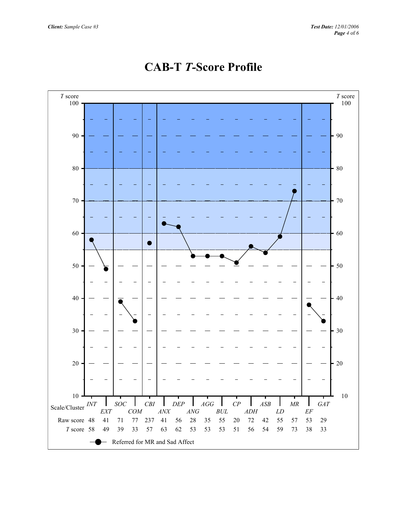

## **CAB-T** *T-***Score Profile**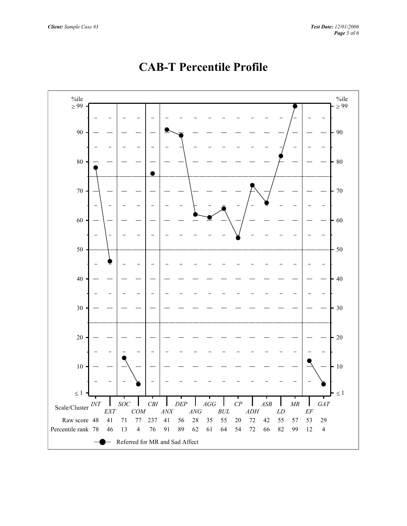

## **CAB-T Percentile Profile**